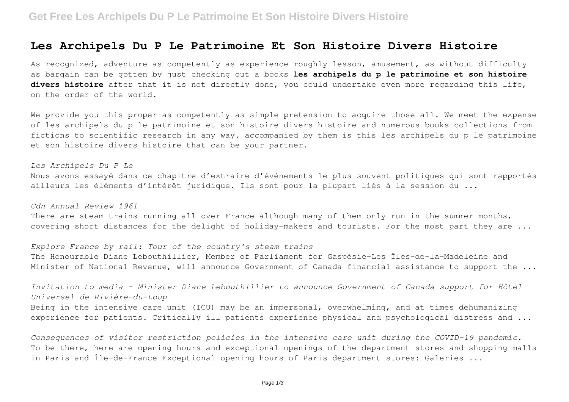## **Les Archipels Du P Le Patrimoine Et Son Histoire Divers Histoire**

As recognized, adventure as competently as experience roughly lesson, amusement, as without difficulty as bargain can be gotten by just checking out a books **les archipels du p le patrimoine et son histoire divers histoire** after that it is not directly done, you could undertake even more regarding this life, on the order of the world.

We provide you this proper as competently as simple pretension to acquire those all. We meet the expense of les archipels du p le patrimoine et son histoire divers histoire and numerous books collections from fictions to scientific research in any way. accompanied by them is this les archipels du p le patrimoine et son histoire divers histoire that can be your partner.

*Les Archipels Du P Le* Nous avons essayé dans ce chapitre d'extraire d'événements le plus souvent politiques qui sont rapportés ailleurs les éléments d'intérêt juridique. Ils sont pour la plupart liés à la session du ...

*Cdn Annual Review 1961*

There are steam trains running all over France although many of them only run in the summer months, covering short distances for the delight of holiday-makers and tourists. For the most part they are ...

*Explore France by rail: Tour of the country's steam trains* The Honourable Diane Lebouthillier, Member of Parliament for Gaspésie–Les Îles-de-la-Madeleine and Minister of National Revenue, will announce Government of Canada financial assistance to support the ...

*Invitation to media – Minister Diane Lebouthillier to announce Government of Canada support for Hôtel Universel de Rivière-du-Loup* Being in the intensive care unit (ICU) may be an impersonal, overwhelming, and at times dehumanizing experience for patients. Critically ill patients experience physical and psychological distress and ...

*Consequences of visitor restriction policies in the intensive care unit during the COVID-19 pandemic.* To be there, here are opening hours and exceptional openings of the department stores and shopping malls in Paris and Île-de-France Exceptional opening hours of Paris department stores: Galeries ...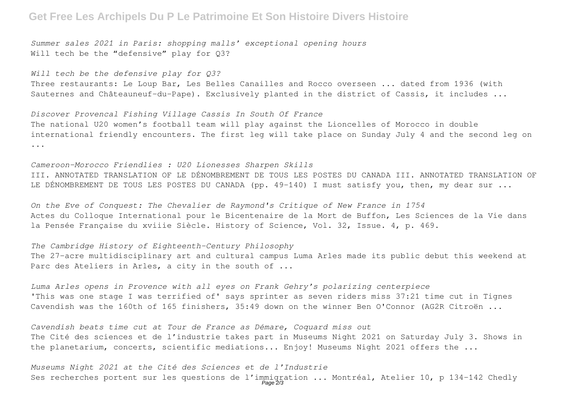### **Get Free Les Archipels Du P Le Patrimoine Et Son Histoire Divers Histoire**

*Summer sales 2021 in Paris: shopping malls' exceptional opening hours* Will tech be the "defensive" play for 03?

*Will tech be the defensive play for Q3?* Three restaurants: Le Loup Bar, Les Belles Canailles and Rocco overseen ... dated from 1936 (with Sauternes and Châteauneuf-du-Pape). Exclusively planted in the district of Cassis, it includes ...

*Discover Provencal Fishing Village Cassis In South Of France* The national U20 women's football team will play against the Lioncelles of Morocco in double international friendly encounters. The first leg will take place on Sunday July 4 and the second leg on ...

*Cameroon-Morocco Friendlies : U20 Lionesses Sharpen Skills* III. ANNOTATED TRANSLATION OF LE DÉNOMBREMENT DE TOUS LES POSTES DU CANADA III. ANNOTATED TRANSLATION OF LE DÉNOMBREMENT DE TOUS LES POSTES DU CANADA (pp. 49-140) I must satisfy you, then, my dear sur ...

*On the Eve of Conquest: The Chevalier de Raymond's Critique of New France in 1754* Actes du Colloque International pour le Bicentenaire de la Mort de Buffon, Les Sciences de la Vie dans la Pensée Française du xviiie Siècle. History of Science, Vol. 32, Issue. 4, p. 469.

### *The Cambridge History of Eighteenth-Century Philosophy*

The 27-acre multidisciplinary art and cultural campus Luma Arles made its public debut this weekend at Parc des Ateliers in Arles, a city in the south of ...

*Luma Arles opens in Provence with all eyes on Frank Gehry's polarizing centerpiece* 'This was one stage I was terrified of' says sprinter as seven riders miss 37:21 time cut in Tignes Cavendish was the 160th of 165 finishers, 35:49 down on the winner Ben O'Connor (AG2R Citroën ...

*Cavendish beats time cut at Tour de France as Démare, Coquard miss out* The Cité des sciences et de l'industrie takes part in Museums Night 2021 on Saturday July 3. Shows in the planetarium, concerts, scientific mediations... Enjoy! Museums Night 2021 offers the ...

*Museums Night 2021 at the Cité des Sciences et de l'Industrie* Ses recherches portent sur les questions de l'immigration ... Montréal, Atelier 10, p 134-142 Chedly